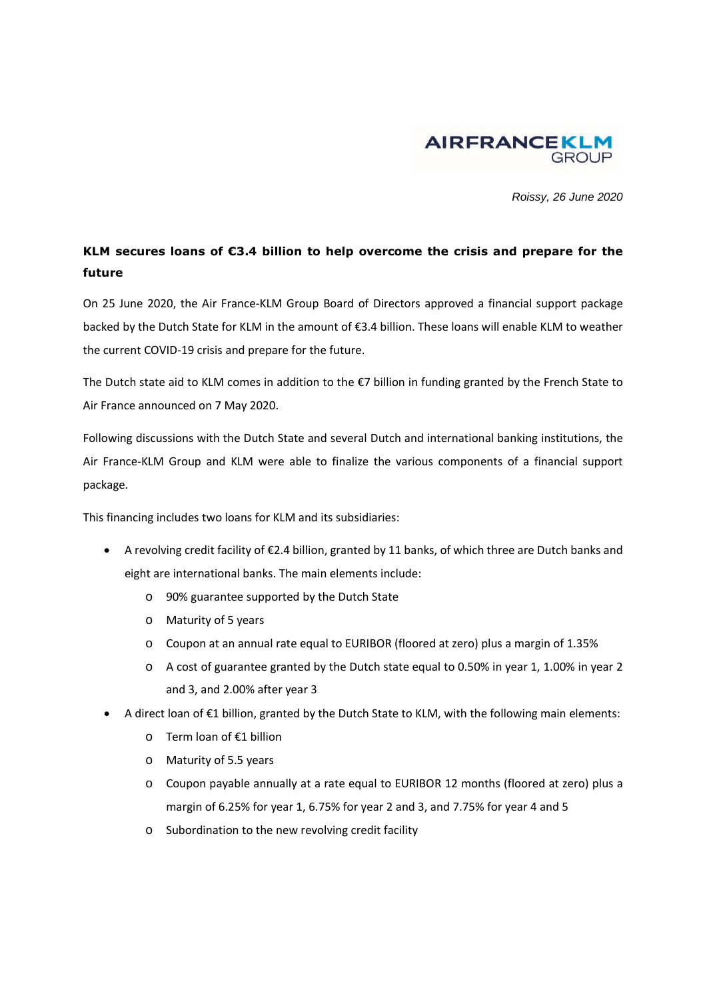

*Roissy, 26 June 2020* 

## **KLM secures loans of €3.4 billion to help overcome the crisis and prepare for the future**

On 25 June 2020, the Air France-KLM Group Board of Directors approved a financial support package backed by the Dutch State for KLM in the amount of €3.4 billion. These loans will enable KLM to weather the current COVID-19 crisis and prepare for the future.

The Dutch state aid to KLM comes in addition to the €7 billion in funding granted by the French State to Air France announced on 7 May 2020.

Following discussions with the Dutch State and several Dutch and international banking institutions, the Air France-KLM Group and KLM were able to finalize the various components of a financial support package.

This financing includes two loans for KLM and its subsidiaries:

- A revolving credit facility of €2.4 billion, granted by 11 banks, of which three are Dutch banks and eight are international banks. The main elements include:
	- o 90% guarantee supported by the Dutch State
	- o Maturity of 5 years
	- o Coupon at an annual rate equal to EURIBOR (floored at zero) plus a margin of 1.35%
	- o A cost of guarantee granted by the Dutch state equal to 0.50% in year 1, 1.00% in year 2 and 3, and 2.00% after year 3
- A direct loan of €1 billion, granted by the Dutch State to KLM, with the following main elements:
	- o Term loan of €1 billion
	- o Maturity of 5.5 years
	- o Coupon payable annually at a rate equal to EURIBOR 12 months (floored at zero) plus a margin of 6.25% for year 1, 6.75% for year 2 and 3, and 7.75% for year 4 and 5
	- o Subordination to the new revolving credit facility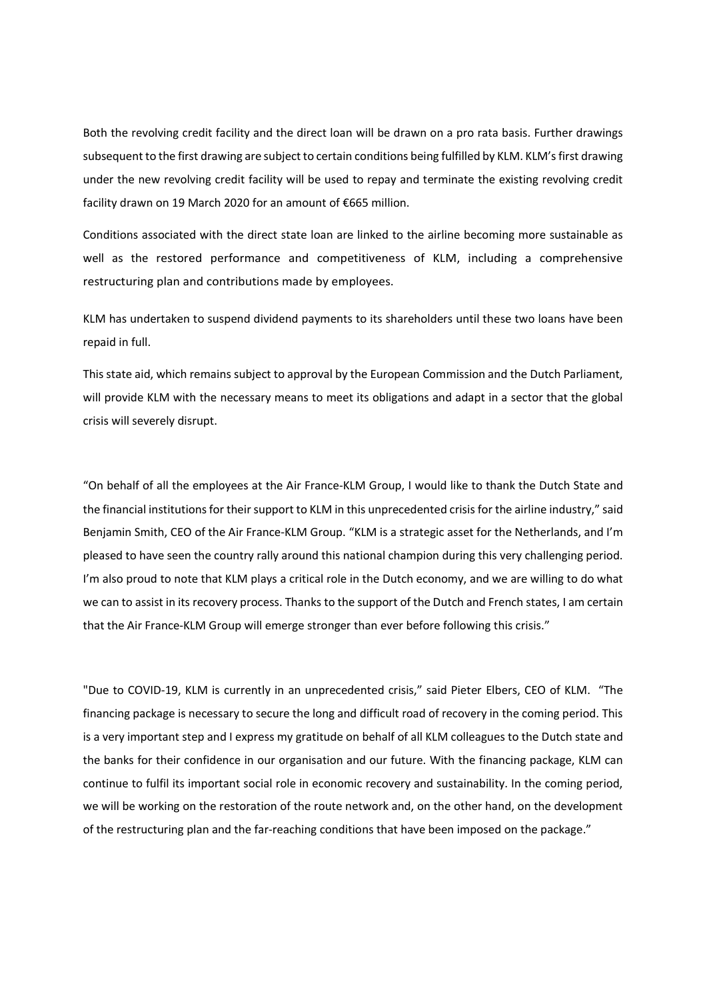Both the revolving credit facility and the direct loan will be drawn on a pro rata basis. Further drawings subsequent to the first drawing are subject to certain conditions being fulfilled by KLM. KLM's first drawing under the new revolving credit facility will be used to repay and terminate the existing revolving credit facility drawn on 19 March 2020 for an amount of €665 million.

Conditions associated with the direct state loan are linked to the airline becoming more sustainable as well as the restored performance and competitiveness of KLM, including a comprehensive restructuring plan and contributions made by employees.

KLM has undertaken to suspend dividend payments to its shareholders until these two loans have been repaid in full.

This state aid, which remains subject to approval by the European Commission and the Dutch Parliament, will provide KLM with the necessary means to meet its obligations and adapt in a sector that the global crisis will severely disrupt.

"On behalf of all the employees at the Air France-KLM Group, I would like to thank the Dutch State and the financial institutions for their support to KLM in this unprecedented crisis for the airline industry," said Benjamin Smith, CEO of the Air France-KLM Group. "KLM is a strategic asset for the Netherlands, and I'm pleased to have seen the country rally around this national champion during this very challenging period. I'm also proud to note that KLM plays a critical role in the Dutch economy, and we are willing to do what we can to assist in its recovery process. Thanks to the support of the Dutch and French states, I am certain that the Air France-KLM Group will emerge stronger than ever before following this crisis."

"Due to COVID-19, KLM is currently in an unprecedented crisis," said Pieter Elbers, CEO of KLM. "The financing package is necessary to secure the long and difficult road of recovery in the coming period. This is a very important step and I express my gratitude on behalf of all KLM colleagues to the Dutch state and the banks for their confidence in our organisation and our future. With the financing package, KLM can continue to fulfil its important social role in economic recovery and sustainability. In the coming period, we will be working on the restoration of the route network and, on the other hand, on the development of the restructuring plan and the far-reaching conditions that have been imposed on the package."